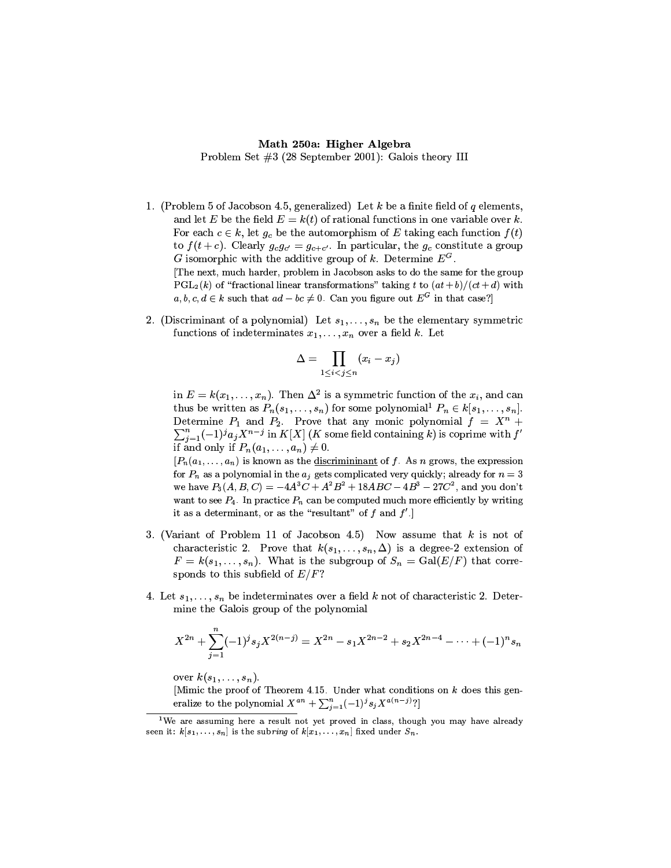## Math 250a: Higher Algebra

Problem Set  $#3$  (28 September 2001): Galois theory III

- 1. (Problem 5 of Jacobson 4.5, generalized) Let  $k$  be a finite field of  $q$  elements, and let E be the field  $E = k(t)$  of rational functions in one variable over k. For each  $c \in k$ , let  $g_c$  be the automorphism of E taking each function  $f(t)$ to  $f(t+c)$ . Clearly  $g_c g_{c'} = g_{c+c'}$ . In particular, the  $g_c$  constitute a group G isomorphic with the additive group of k. Determine  $E^G$ . The next, much harder, problem in Jacobson asks to do the same for the group  $PGL_2(k)$  of "fractional linear transformations" taking t to  $(at + b)/(ct + d)$  with  $a, b, c, d \in k$  such that  $ad - bc \neq 0$ . Can you figure out  $E^G$  in that case?
- 2. (Discriminant of a polynomial) Let  $s_1, \ldots, s_n$  be the elementary symmetric functions of indeterminates  $x_1, \ldots, x_n$  over a field k. Let

$$
\Delta = \prod_{1 \leq i < j \leq n} (x_i - x_j)
$$

in  $E = k(x_1, ..., x_n)$ . Then  $\Delta^2$  is a symmetric function of the  $x_i$ , and can thus be written as  $P_n(s_1,\ldots,s_n)$  for some polynomial<sup>1</sup>  $P_n \in k[s_1,\ldots,s_n]$ . Determine  $P_1$  and  $P_2$ . Prove that any monic polynomial  $f = X^n +$  $\sum_{j=1}^n (-1)^j a_j X^{n-j}$  in K[X] (K some field containing k) is coprime with  $f'$ if and only if  $P_n(a_1,\ldots,a_n) \neq 0$ .

 $[P_n(a_1, \ldots, a_n)]$  is known as the discrimininant of f. As n grows, the expression for  $P_n$  as a polynomial in the  $a_j$  gets complicated very quickly; already for  $n=3$ we have  $P_3(A, B, C) = -4A^3C + A^2B^2 + 18ABC - 4B^3 - 27C^2$ , and you don't want to see  $P_4$ . In practice  $P_n$  can be computed much more efficiently by writing it as a determinant, or as the "resultant" of  $f$  and  $f'$ .

- 3. (Variant of Problem 11 of Jacobson 4.5) Now assume that  $k$  is not of characteristic 2. Prove that  $k(s_1, \ldots, s_n, \Delta)$  is a degree-2 extension of  $F = k(s_1, \ldots, s_n)$ . What is the subgroup of  $S_n = \text{Gal}(E/F)$  that corresponds to this subfield of  $E/F$ ?
- 4. Let  $s_1, \ldots, s_n$  be indeterminates over a field k not of characteristic 2. Determine the Galois group of the polynomial

$$
X^{2n}+\sum_{j=1}^n(-1)^js_jX^{2(n-j)}=X^{2n}-s_1X^{2n-2}+s_2X^{2n-4}-\cdots+(-1)^ns_n
$$

over  $k(s_1,\ldots,s_n)$ .

[Mimic the proof of Theorem 4.15. Under what conditions on  $k$  does this generalize to the polynomial  $X^{an} + \sum_{j=1}^{n} (-1)^{j} s_j X^{a(n-j)}$ ?

 $\frac{1}{1}$ We are assuming here a result not vet proved in class, though you may have already seen it:  $k[s_1,\ldots,s_n]$  is the subring of  $k[x_1,\ldots,x_n]$  fixed under  $S_n$ .